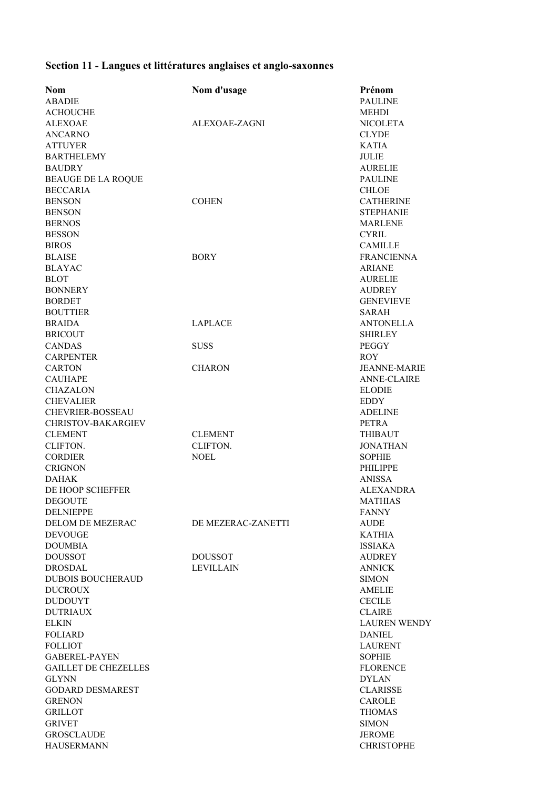## **Section 11 - Langues et littératures anglaises et anglo-saxonnes**

| Nom                               | Nom d'usage        | Prénom              |
|-----------------------------------|--------------------|---------------------|
| <b>ABADIE</b>                     |                    | <b>PAULINE</b>      |
| <b>ACHOUCHE</b>                   |                    | <b>MEHDI</b>        |
| <b>ALEXOAE</b>                    | ALEXOAE-ZAGNI      | <b>NICOLETA</b>     |
| <b>ANCARNO</b>                    |                    | <b>CLYDE</b>        |
| <b>ATTUYER</b>                    |                    | <b>KATIA</b>        |
| <b>BARTHELEMY</b>                 |                    | <b>JULIE</b>        |
| <b>BAUDRY</b>                     |                    | <b>AURELIE</b>      |
| <b>BEAUGE DE LA ROQUE</b>         |                    | <b>PAULINE</b>      |
| <b>BECCARIA</b>                   |                    | <b>CHLOE</b>        |
| <b>BENSON</b>                     | <b>COHEN</b>       | <b>CATHERINE</b>    |
| <b>BENSON</b>                     |                    | <b>STEPHANIE</b>    |
| <b>BERNOS</b>                     |                    | <b>MARLENE</b>      |
| <b>BESSON</b>                     |                    | CYRIL               |
| <b>BIROS</b>                      |                    | <b>CAMILLE</b>      |
| <b>BLAISE</b>                     | <b>BORY</b>        | <b>FRANCIENNA</b>   |
| <b>BLAYAC</b>                     |                    | <b>ARIANE</b>       |
| <b>BLOT</b>                       |                    | <b>AURELIE</b>      |
| <b>BONNERY</b>                    |                    | <b>AUDREY</b>       |
| <b>BORDET</b>                     |                    | <b>GENEVIEVE</b>    |
| <b>BOUTTIER</b>                   |                    | <b>SARAH</b>        |
| <b>BRAIDA</b>                     | <b>LAPLACE</b>     | <b>ANTONELLA</b>    |
| <b>BRICOUT</b>                    |                    | <b>SHIRLEY</b>      |
|                                   |                    |                     |
| <b>CANDAS</b><br><b>CARPENTER</b> | <b>SUSS</b>        | <b>PEGGY</b>        |
|                                   |                    | <b>ROY</b>          |
| <b>CARTON</b>                     | <b>CHARON</b>      | <b>JEANNE-MARIE</b> |
| <b>CAUHAPE</b>                    |                    | <b>ANNE-CLAIRE</b>  |
| <b>CHAZALON</b>                   |                    | <b>ELODIE</b>       |
| <b>CHEVALIER</b>                  |                    | <b>EDDY</b>         |
| <b>CHEVRIER-BOSSEAU</b>           |                    | <b>ADELINE</b>      |
| <b>CHRISTOV-BAKARGIEV</b>         |                    | <b>PETRA</b>        |
| <b>CLEMENT</b>                    | <b>CLEMENT</b>     | <b>THIBAUT</b>      |
| CLIFTON.                          | CLIFTON.           | <b>JONATHAN</b>     |
| <b>CORDIER</b>                    | <b>NOEL</b>        | <b>SOPHIE</b>       |
| <b>CRIGNON</b>                    |                    | <b>PHILIPPE</b>     |
| <b>DAHAK</b>                      |                    | <b>ANISSA</b>       |
| DE HOOP SCHEFFER                  |                    | <b>ALEXANDRA</b>    |
| <b>DEGOUTE</b>                    |                    | <b>MATHIAS</b>      |
| <b>DELNIEPPE</b>                  |                    | <b>FANNY</b>        |
| <b>DELOM DE MEZERAC</b>           | DE MEZERAC-ZANETTI | <b>AUDE</b>         |
| <b>DEVOUGE</b>                    |                    | <b>KATHIA</b>       |
| <b>DOUMBIA</b>                    |                    | <b>ISSIAKA</b>      |
| <b>DOUSSOT</b>                    | <b>DOUSSOT</b>     | <b>AUDREY</b>       |
| <b>DROSDAL</b>                    | <b>LEVILLAIN</b>   | <b>ANNICK</b>       |
| DUBOIS BOUCHERAUD                 |                    | <b>SIMON</b>        |
| <b>DUCROUX</b>                    |                    | <b>AMELIE</b>       |
| <b>DUDOUYT</b>                    |                    | <b>CECILE</b>       |
| <b>DUTRIAUX</b>                   |                    | <b>CLAIRE</b>       |
| <b>ELKIN</b>                      |                    | <b>LAUREN WENDY</b> |
| <b>FOLIARD</b>                    |                    | <b>DANIEL</b>       |
| <b>FOLLIOT</b>                    |                    | <b>LAURENT</b>      |
| <b>GABEREL-PAYEN</b>              |                    | <b>SOPHIE</b>       |
| <b>GAILLET DE CHEZELLES</b>       |                    | <b>FLORENCE</b>     |
| <b>GLYNN</b>                      |                    | <b>DYLAN</b>        |
| <b>GODARD DESMAREST</b>           |                    | <b>CLARISSE</b>     |
| <b>GRENON</b>                     |                    | <b>CAROLE</b>       |
| <b>GRILLOT</b>                    |                    | <b>THOMAS</b>       |
| <b>GRIVET</b>                     |                    | <b>SIMON</b>        |
| <b>GROSCLAUDE</b>                 |                    | <b>JEROME</b>       |
| <b>HAUSERMANN</b>                 |                    | <b>CHRISTOPHE</b>   |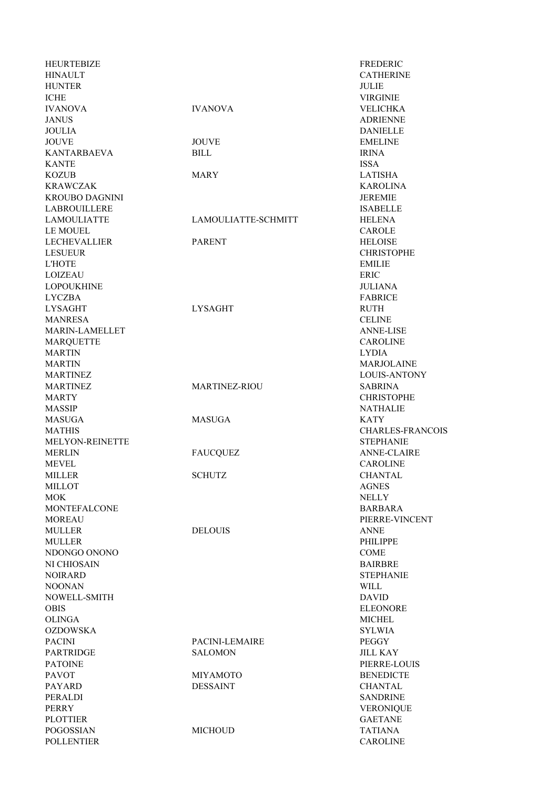| HEURTEBIZE            |                      | FREDERIC         |
|-----------------------|----------------------|------------------|
| <b>HINAULT</b>        |                      | <b>CATHERIN</b>  |
| <b>HUNTER</b>         |                      | <b>JULIE</b>     |
| <b>ICHE</b>           |                      | <b>VIRGINIE</b>  |
| <b>IVANOVA</b>        | <b>IVANOVA</b>       | <b>VELICHKA</b>  |
| <b>JANUS</b>          |                      | <b>ADRIENNE</b>  |
| <b>JOULIA</b>         |                      | <b>DANIELLE</b>  |
| <b>JOUVE</b>          | <b>JOUVE</b>         | <b>EMELINE</b>   |
| <b>KANTARBAEVA</b>    | <b>BILL</b>          | <b>IRINA</b>     |
| <b>KANTE</b>          |                      | <b>ISSA</b>      |
| <b>KOZUB</b>          | <b>MARY</b>          | <b>LATISHA</b>   |
| <b>KRAWCZAK</b>       |                      | <b>KAROLINA</b>  |
| <b>KROUBO DAGNINI</b> |                      | <b>JEREMIE</b>   |
| LABROUILLERE          |                      | <b>ISABELLE</b>  |
| <b>LAMOULIATTE</b>    | LAMOULIATTE-SCHMITT  | <b>HELENA</b>    |
| <b>LE MOUEL</b>       |                      | CAROLE           |
| <b>LECHEVALLIER</b>   | <b>PARENT</b>        | <b>HELOISE</b>   |
| <b>LESUEUR</b>        |                      | <b>CHRISTOPI</b> |
| <b>L'HOTE</b>         |                      | <b>EMILIE</b>    |
| <b>LOIZEAU</b>        |                      | <b>ERIC</b>      |
| <b>LOPOUKHINE</b>     |                      | JULIANA          |
| <b>LYCZBA</b>         |                      | <b>FABRICE</b>   |
| <b>LYSAGHT</b>        | <b>LYSAGHT</b>       | <b>RUTH</b>      |
| <b>MANRESA</b>        |                      | <b>CELINE</b>    |
| MARIN-LAMELLET        |                      | <b>ANNE-LISE</b> |
|                       |                      | <b>CAROLINE</b>  |
| <b>MARQUETTE</b>      |                      |                  |
| <b>MARTIN</b>         |                      | <b>LYDIA</b>     |
| <b>MARTIN</b>         |                      | <b>MARJOLAI</b>  |
| <b>MARTINEZ</b>       |                      | LOUIS-ANT        |
| <b>MARTINEZ</b>       | <b>MARTINEZ-RIOU</b> | SABRINA          |
| <b>MARTY</b>          |                      | <b>CHRISTOPH</b> |
| <b>MASSIP</b>         |                      | <b>NATHALIE</b>  |
| <b>MASUGA</b>         | <b>MASUGA</b>        | <b>KATY</b>      |
| <b>MATHIS</b>         |                      | <b>CHARLES-I</b> |
| MELYON-REINETTE       |                      | <b>STEPHANIE</b> |
| <b>MERLIN</b>         | <b>FAUCQUEZ</b>      | <b>ANNE-CLA</b>  |
| MEVEL                 |                      | <b>CAROLINE</b>  |
| <b>MILLER</b>         | <b>SCHUTZ</b>        | <b>CHANTAL</b>   |
| <b>MILLOT</b>         |                      | <b>AGNES</b>     |
| <b>MOK</b>            |                      | <b>NELLY</b>     |
| <b>MONTEFALCONE</b>   |                      | <b>BARBARA</b>   |
| <b>MOREAU</b>         |                      | PIERRE-VII       |
| <b>MULLER</b>         | <b>DELOUIS</b>       | <b>ANNE</b>      |
| <b>MULLER</b>         |                      | <b>PHILIPPE</b>  |
| NDONGO ONONO          |                      | <b>COME</b>      |
| NI CHIOSAIN           |                      | <b>BAIRBRE</b>   |
| <b>NOIRARD</b>        |                      | <b>STEPHANIE</b> |
| <b>NOONAN</b>         |                      | WILL             |
| NOWELL-SMITH          |                      | <b>DAVID</b>     |
| <b>OBIS</b>           |                      | <b>ELEONORE</b>  |
| <b>OLINGA</b>         |                      | <b>MICHEL</b>    |
| <b>OZDOWSKA</b>       |                      | <b>SYLWIA</b>    |
| <b>PACINI</b>         | PACINI-LEMAIRE       | PEGGY            |
|                       | <b>SALOMON</b>       |                  |
| <b>PARTRIDGE</b>      |                      | <b>JILL KAY</b>  |
| <b>PATOINE</b>        |                      | PIERRE-LO        |
| <b>PAVOT</b>          | <b>MIYAMOTO</b>      | <b>BENEDICTI</b> |
| <b>PAYARD</b>         | <b>DESSAINT</b>      | CHANTAL          |
| PERALDI               |                      | <b>SANDRINE</b>  |
| <b>PERRY</b>          |                      | <b>VERONIQU</b>  |
| <b>PLOTTIER</b>       |                      | <b>GAETANE</b>   |
| <b>POGOSSIAN</b>      | <b>MICHOUD</b>       | <b>TATIANA</b>   |
| <b>POLLENTIER</b>     |                      | <b>CAROLINE</b>  |

DANIELLE<br>JOUVE EMELINE MARY LATISHA LAMOULIATTE-SCHMITT HELENA MARTINEZ-RIOU SABRINA MASUGA KATY FAUCQUEZ ANNE-CLAIRE SCHUTZ CHANTAL DELOUIS ANNE PACINI-LEMAIRE PEGGY SALOMON JILL KAY MIYAMOTO BENEDICTE DESSAINT CHANTAL MICHOUD TATIANA

FREDERIC CATHERINE **VIRGINIE** IVANOVA IVANOVA VELICHKA **ADRIENNE** KAROLINA CAROLE CHRISTOPHE JULIANA ANNE-LISE **CAROLINE MARJOLAINE** LOUIS-ANTONY **CHRISTOPHE NATHALIE** CHARLES-FRANCOIS **STEPHANIE CAROLINE** PIERRE-VINCENT **STEPHANIE ELEONORE SYLWIA** PIERRE-LOUIS **SANDRINE VERONIQUE GAETANE**